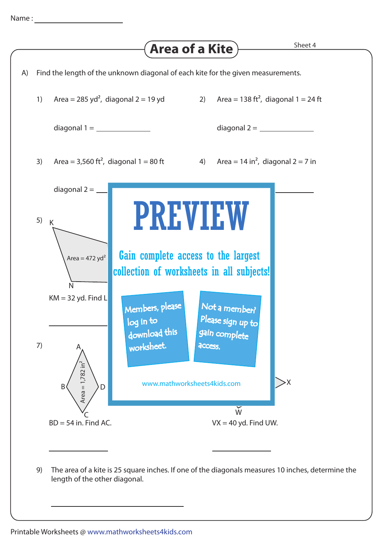